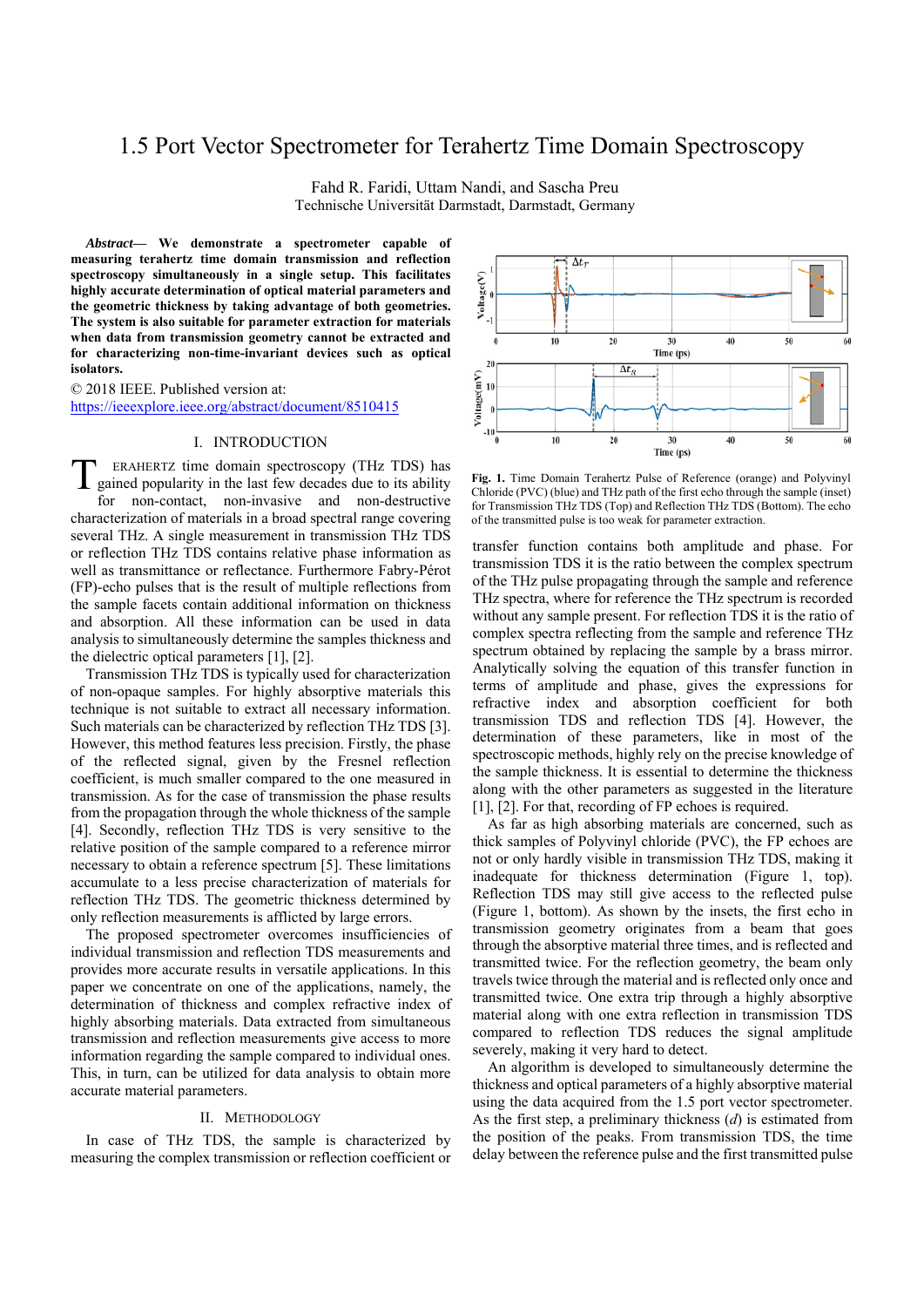# 1.5 Port Vector Spectrometer for Terahertz Time Domain Spectroscopy

Fahd R. Faridi, Uttam Nandi, and Sascha Preu Technische Universität Darmstadt, Darmstadt, Germany

*Abstract***— We demonstrate a spectrometer capable of measuring terahertz time domain transmission and reflection spectroscopy simultaneously in a single setup. This facilitates highly accurate determination of optical material parameters and the geometric thickness by taking advantage of both geometries. The system is also suitable for parameter extraction for materials when data from transmission geometry cannot be extracted and for characterizing non-time-invariant devices such as optical isolators.** 

© 2018 IEEE. Published version at: https://ieeexplore.ieee.org/abstract/document/8510415

### I. INTRODUCTION

ERAHERTZ time domain spectroscopy (THz TDS) has ERAHERTZ time domain spectroscopy (THz TDS) has<br>gained popularity in the last few decades due to its ability<br>Chloride (PVC) (blue) and THz path of the first echo through the sample (inset) for non-contact, non-invasive and non-destructive characterization of materials in a broad spectral range covering several THz. A single measurement in transmission THz TDS or reflection THz TDS contains relative phase information as well as transmittance or reflectance. Furthermore Fabry-Pérot (FP)-echo pulses that is the result of multiple reflections from the sample facets contain additional information on thickness and absorption. All these information can be used in data analysis to simultaneously determine the samples thickness and the dielectric optical parameters [1], [2].

Transmission THz TDS is typically used for characterization of non-opaque samples. For highly absorptive materials this technique is not suitable to extract all necessary information. Such materials can be characterized by reflection THz TDS [3]. However, this method features less precision. Firstly, the phase of the reflected signal, given by the Fresnel reflection coefficient, is much smaller compared to the one measured in transmission. As for the case of transmission the phase results from the propagation through the whole thickness of the sample [4]. Secondly, reflection THz TDS is very sensitive to the relative position of the sample compared to a reference mirror necessary to obtain a reference spectrum [5]. These limitations accumulate to a less precise characterization of materials for reflection THz TDS. The geometric thickness determined by only reflection measurements is afflicted by large errors.

The proposed spectrometer overcomes insufficiencies of individual transmission and reflection TDS measurements and provides more accurate results in versatile applications. In this paper we concentrate on one of the applications, namely, the determination of thickness and complex refractive index of highly absorbing materials. Data extracted from simultaneous transmission and reflection measurements give access to more information regarding the sample compared to individual ones. This, in turn, can be utilized for data analysis to obtain more accurate material parameters.

# II. METHODOLOGY

In case of THz TDS, the sample is characterized by measuring the complex transmission or reflection coefficient or



Chloride (PVC) (blue) and THz path of the first echo through the sample (inset) for Transmission THz TDS (Top) and Reflection THz TDS (Bottom). The echo of the transmitted pulse is too weak for parameter extraction.

transfer function contains both amplitude and phase. For transmission TDS it is the ratio between the complex spectrum of the THz pulse propagating through the sample and reference THz spectra, where for reference the THz spectrum is recorded without any sample present. For reflection TDS it is the ratio of complex spectra reflecting from the sample and reference THz spectrum obtained by replacing the sample by a brass mirror. Analytically solving the equation of this transfer function in terms of amplitude and phase, gives the expressions for refractive index and absorption coefficient for both transmission TDS and reflection TDS [4]. However, the determination of these parameters, like in most of the spectroscopic methods, highly rely on the precise knowledge of the sample thickness. It is essential to determine the thickness along with the other parameters as suggested in the literature [1], [2]. For that, recording of FP echoes is required.

As far as high absorbing materials are concerned, such as thick samples of Polyvinyl chloride (PVC), the FP echoes are not or only hardly visible in transmission THz TDS, making it inadequate for thickness determination (Figure 1, top). Reflection TDS may still give access to the reflected pulse (Figure 1, bottom). As shown by the insets, the first echo in transmission geometry originates from a beam that goes through the absorptive material three times, and is reflected and transmitted twice. For the reflection geometry, the beam only travels twice through the material and is reflected only once and transmitted twice. One extra trip through a highly absorptive material along with one extra reflection in transmission TDS compared to reflection TDS reduces the signal amplitude severely, making it very hard to detect.

An algorithm is developed to simultaneously determine the thickness and optical parameters of a highly absorptive material using the data acquired from the 1.5 port vector spectrometer. As the first step, a preliminary thickness (*d*) is estimated from the position of the peaks. From transmission TDS, the time delay between the reference pulse and the first transmitted pulse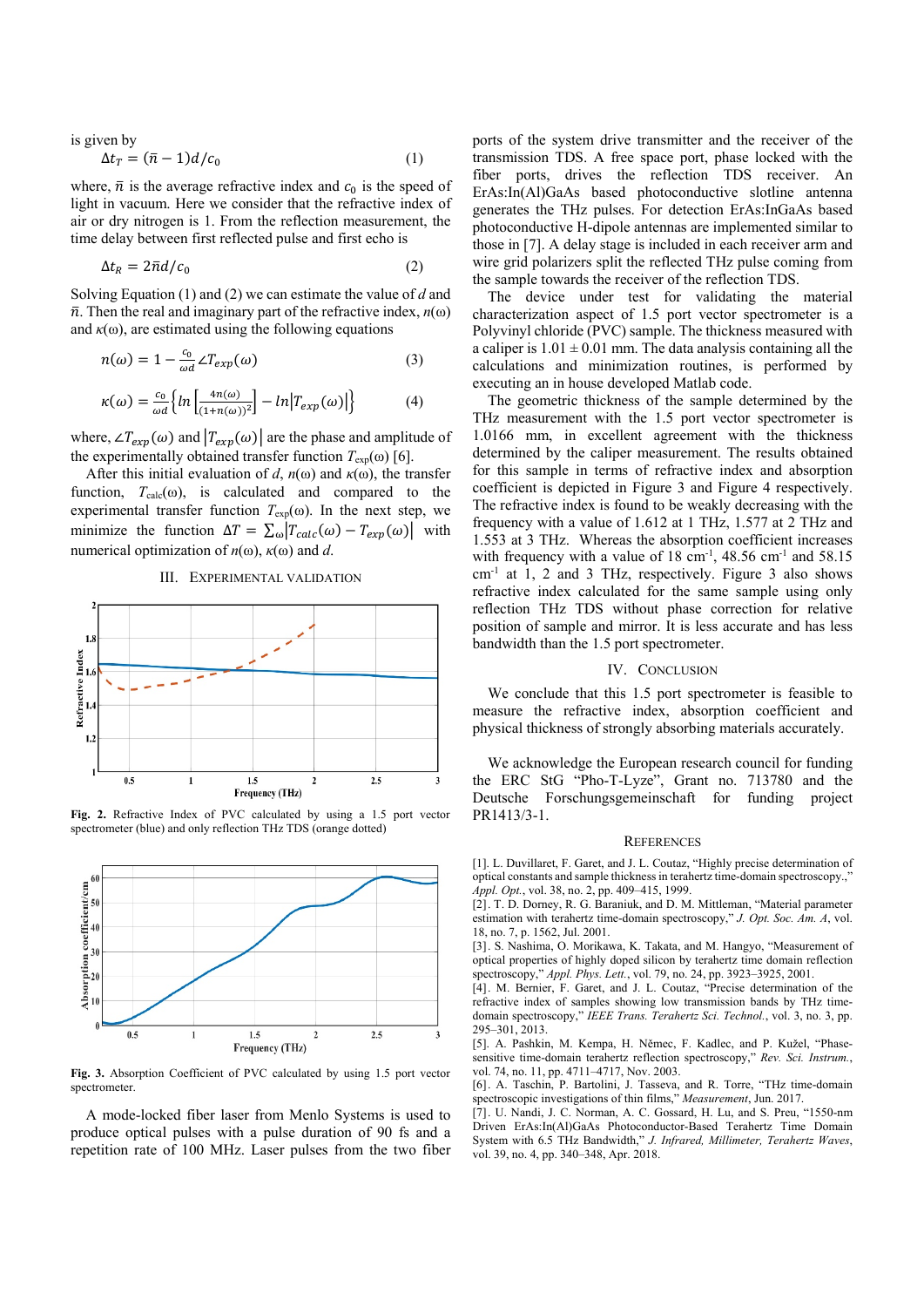is given by  
\n
$$
\Delta t_T = (\bar{n} - 1)d/c_0
$$
\n(1)

where,  $\bar{n}$  is the average refractive index and  $c_0$  is the speed of light in vacuum. Here we consider that the refractive index of air or dry nitrogen is 1. From the reflection measurement, the time delay between first reflected pulse and first echo is

$$
\Delta t_R = 2\bar{n}d/c_0 \tag{2}
$$

Solving Equation (1) and (2) we can estimate the value of *d* and  $\bar{n}$ . Then the real and imaginary part of the refractive index,  $n(\omega)$ and  $\kappa(\omega)$ , are estimated using the following equations

$$
n(\omega) = 1 - \frac{c_0}{\omega d} \angle T_{exp}(\omega)
$$
 (3)

$$
\kappa(\omega) = \frac{c_0}{\omega d} \left\{ ln \left[ \frac{4n(\omega)}{(1 + n(\omega))^2} \right] - ln \left| T_{exp}(\omega) \right| \right\} \tag{4}
$$

where,  $\angle T_{exn}(\omega)$  and  $|T_{exn}(\omega)|$  are the phase and amplitude of the experimentally obtained transfer function  $T_{\text{exp}}(\omega)$  [6].

After this initial evaluation of *d*,  $n(\omega)$  and  $\kappa(\omega)$ , the transfer function,  $T_{\text{calc}}(\omega)$ , is calculated and compared to the experimental transfer function  $T_{\text{exp}}(\omega)$ . In the next step, we minimize the function  $\Delta T = \sum_{\omega} \left| T_{calc}(\omega) - T_{exp}(\omega) \right|$  with numerical optimization of *n*(ω), *κ*(ω) and *d*.



III. EXPERIMENTAL VALIDATION

**Fig. 2.** Refractive Index of PVC calculated by using a 1.5 port vector spectrometer (blue) and only reflection THz TDS (orange dotted)



**Fig. 3.** Absorption Coefficient of PVC calculated by using 1.5 port vector spectrometer.

 A mode-locked fiber laser from Menlo Systems is used to produce optical pulses with a pulse duration of 90 fs and a repetition rate of 100 MHz. Laser pulses from the two fiber ports of the system drive transmitter and the receiver of the transmission TDS. A free space port, phase locked with the fiber ports, drives the reflection TDS receiver. An ErAs:In(Al)GaAs based photoconductive slotline antenna generates the THz pulses. For detection ErAs:InGaAs based photoconductive H-dipole antennas are implemented similar to those in [7]. A delay stage is included in each receiver arm and wire grid polarizers split the reflected THz pulse coming from the sample towards the receiver of the reflection TDS.

The device under test for validating the material characterization aspect of 1.5 port vector spectrometer is a Polyvinyl chloride (PVC) sample. The thickness measured with a caliper is  $1.01 \pm 0.01$  mm. The data analysis containing all the calculations and minimization routines, is performed by executing an in house developed Matlab code.

The geometric thickness of the sample determined by the THz measurement with the 1.5 port vector spectrometer is 1.0166 mm, in excellent agreement with the thickness determined by the caliper measurement. The results obtained for this sample in terms of refractive index and absorption coefficient is depicted in Figure 3 and Figure 4 respectively. The refractive index is found to be weakly decreasing with the frequency with a value of 1.612 at 1 THz, 1.577 at 2 THz and 1.553 at 3 THz. Whereas the absorption coefficient increases with frequency with a value of 18 cm<sup>-1</sup>, 48.56 cm<sup>-1</sup> and 58.15 cm-1 at 1, 2 and 3 THz, respectively. Figure 3 also shows refractive index calculated for the same sample using only reflection THz TDS without phase correction for relative position of sample and mirror. It is less accurate and has less bandwidth than the 1.5 port spectrometer.

## IV. CONCLUSION

We conclude that this 1.5 port spectrometer is feasible to measure the refractive index, absorption coefficient and physical thickness of strongly absorbing materials accurately.

We acknowledge the European research council for funding the ERC StG "Pho-T-Lyze", Grant no. 713780 and the Deutsche Forschungsgemeinschaft for funding project PR1413/3-1.

#### **REFERENCES**

[1]. L. Duvillaret, F. Garet, and J. L. Coutaz, "Highly precise determination of optical constants and sample thickness in terahertz time-domain spectroscopy.," *Appl. Opt.*, vol. 38, no. 2, pp. 409–415, 1999.

[2]. T. D. Dorney, R. G. Baraniuk, and D. M. Mittleman, "Material parameter estimation with terahertz time-domain spectroscopy," *J. Opt. Soc. Am. A*, vol. 18, no. 7, p. 1562, Jul. 2001.

[3] . S. Nashima, O. Morikawa, K. Takata, and M. Hangyo, "Measurement of optical properties of highly doped silicon by terahertz time domain reflection spectroscopy," *Appl. Phys. Lett.*, vol. 79, no. 24, pp. 3923–3925, 2001.

[4] . M. Bernier, F. Garet, and J. L. Coutaz, "Precise determination of the refractive index of samples showing low transmission bands by THz timedomain spectroscopy," *IEEE Trans. Terahertz Sci. Technol.*, vol. 3, no. 3, pp. 295–301, 2013.

[5]. A. Pashkin, M. Kempa, H. Němec, F. Kadlec, and P. Kužel, "Phasesensitive time-domain terahertz reflection spectroscopy," *Rev. Sci. Instrum.*, vol. 74, no. 11, pp. 4711–4717, Nov. 2003.

[6]. A. Taschin, P. Bartolini, J. Tasseva, and R. Torre, "THz time-domain spectroscopic investigations of thin films," *Measurement*, Jun. 2017.

[7] . U. Nandi, J. C. Norman, A. C. Gossard, H. Lu, and S. Preu, "1550-nm Driven ErAs:In(Al)GaAs Photoconductor-Based Terahertz Time Domain System with 6.5 THz Bandwidth," *J. Infrared, Millimeter, Terahertz Waves*, vol. 39, no. 4, pp. 340–348, Apr. 2018.